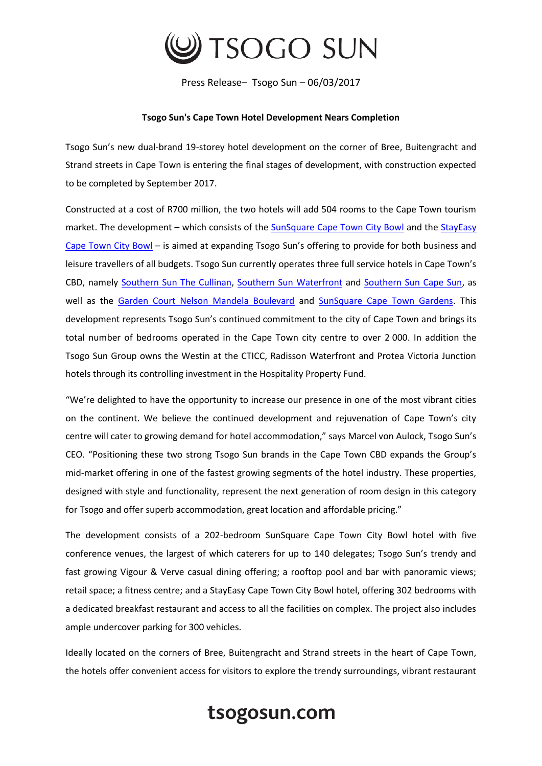

Press Release– Tsogo Sun – 06/03/2017

## **Tsogo Sun's Cape Town Hotel Development Nears Completion**

Tsogo Sun's new dual-brand 19-storey hotel development on the corner of Bree, Buitengracht and Strand streets in Cape Town is entering the final stages of development, with construction expected to be completed by September 2017.

Constructed at a cost of R700 million, the two hotels will add 504 rooms to the Cape Town tourism market. The development – which consists of the [SunSquare Cape Town City Bowl](https://www.tsogosun.com/sunsquare-cape-town-city-bowl) and the StayEasy [Cape Town City Bowl](https://www.tsogosun.com/stayeasy-cape-town-city-bowl) – is aimed at expanding Tsogo Sun's offering to provide for both business and leisure travellers of all budgets. Tsogo Sun currently operates three full service hotels in Cape Town's CBD, namely [Southern Sun The Cullinan,](https://www.tsogosun.com/the-cullinan) [Southern Sun Waterfront](https://www.tsogosun.com/southern-sun-waterfront-cape-town) and [Southern Sun Cape Sun,](https://www.tsogosun.com/southern-sun-cape-sun) as well as the [Garden Court Nelson Mandela Boulevard](https://www.tsogosun.com/garden-court-nelson-mandela-boulevard) and [SunSquare Cape Town Gardens.](https://www.tsogosun.com/sunsquare-cape-town-gardens) This development represents Tsogo Sun's continued commitment to the city of Cape Town and brings its total number of bedrooms operated in the Cape Town city centre to over 2 000. In addition the Tsogo Sun Group owns the Westin at the CTICC, Radisson Waterfront and Protea Victoria Junction hotels through its controlling investment in the Hospitality Property Fund.

"We're delighted to have the opportunity to increase our presence in one of the most vibrant cities on the continent. We believe the continued development and rejuvenation of Cape Town's city centre will cater to growing demand for hotel accommodation," says Marcel von Aulock, Tsogo Sun's CEO. "Positioning these two strong Tsogo Sun brands in the Cape Town CBD expands the Group's mid-market offering in one of the fastest growing segments of the hotel industry. These properties, designed with style and functionality, represent the next generation of room design in this category for Tsogo and offer superb accommodation, great location and affordable pricing."

The development consists of a 202-bedroom SunSquare Cape Town City Bowl hotel with five conference venues, the largest of which caterers for up to 140 delegates; Tsogo Sun's trendy and fast growing Vigour & Verve casual dining offering; a rooftop pool and bar with panoramic views; retail space; a fitness centre; and a StayEasy Cape Town City Bowl hotel, offering 302 bedrooms with a dedicated breakfast restaurant and access to all the facilities on complex. The project also includes ample undercover parking for 300 vehicles.

Ideally located on the corners of Bree, Buitengracht and Strand streets in the heart of Cape Town, the hotels offer convenient access for visitors to explore the trendy surroundings, vibrant restaurant

## tsogosun.com